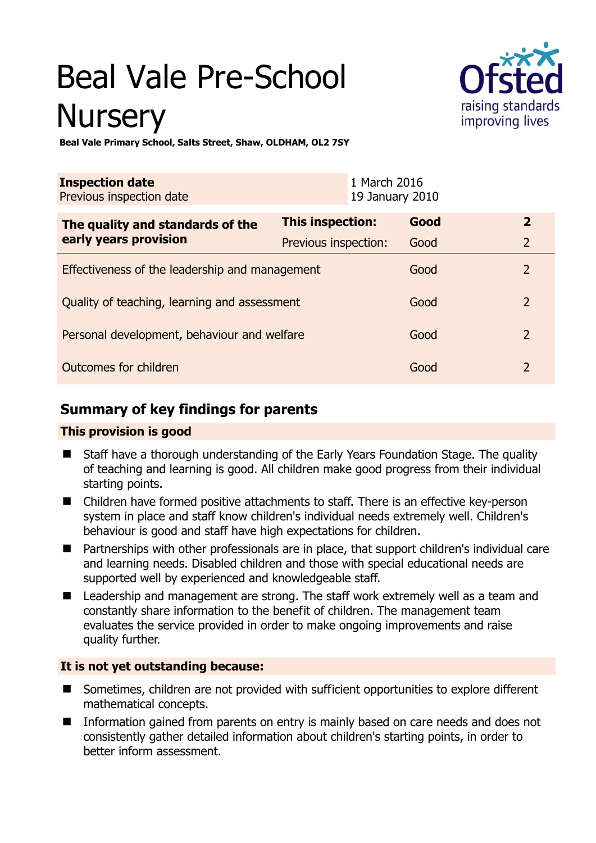# Beal Vale Pre-School **Nursery**



**Beal Vale Primary School, Salts Street, Shaw, OLDHAM, OL2 7SY** 

| <b>Inspection date</b><br>Previous inspection date        |                      | 1 March 2016<br>19 January 2010 |                |
|-----------------------------------------------------------|----------------------|---------------------------------|----------------|
| The quality and standards of the<br>early years provision | This inspection:     | Good                            | $\overline{2}$ |
|                                                           | Previous inspection: | Good                            | $\overline{2}$ |
| Effectiveness of the leadership and management            |                      | Good                            | $\overline{2}$ |
| Quality of teaching, learning and assessment              |                      | Good                            | $\overline{2}$ |
| Personal development, behaviour and welfare               |                      | Good                            | $\overline{2}$ |
| Outcomes for children                                     |                      | Good                            | $\mathcal{P}$  |

# **Summary of key findings for parents**

## **This provision is good**

- Staff have a thorough understanding of the Early Years Foundation Stage. The quality of teaching and learning is good. All children make good progress from their individual starting points.
- Children have formed positive attachments to staff. There is an effective key-person system in place and staff know children's individual needs extremely well. Children's behaviour is good and staff have high expectations for children.
- Partnerships with other professionals are in place, that support children's individual care and learning needs. Disabled children and those with special educational needs are supported well by experienced and knowledgeable staff.
- Leadership and management are strong. The staff work extremely well as a team and constantly share information to the benefit of children. The management team evaluates the service provided in order to make ongoing improvements and raise quality further.

## **It is not yet outstanding because:**

- Sometimes, children are not provided with sufficient opportunities to explore different mathematical concepts.
- Information gained from parents on entry is mainly based on care needs and does not consistently gather detailed information about children's starting points, in order to better inform assessment.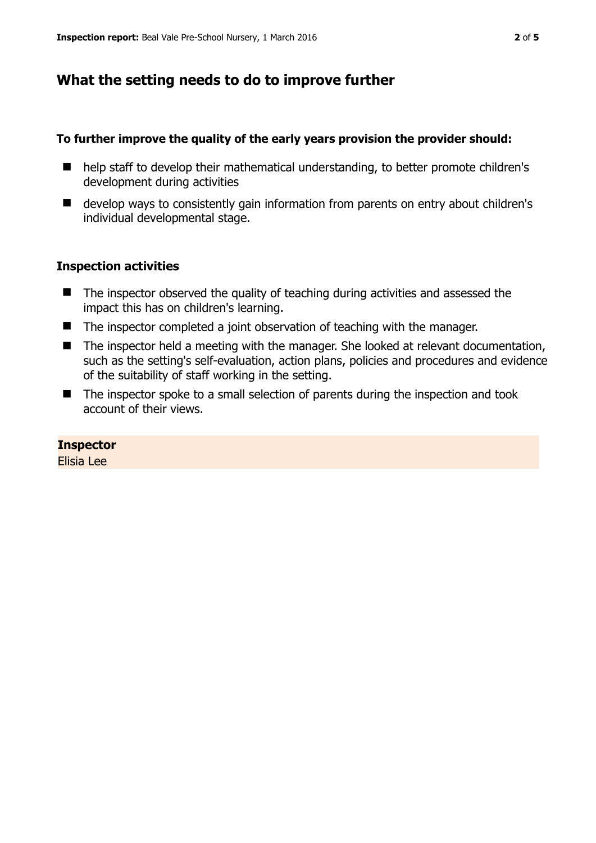## **What the setting needs to do to improve further**

#### **To further improve the quality of the early years provision the provider should:**

- help staff to develop their mathematical understanding, to better promote children's development during activities
- develop ways to consistently gain information from parents on entry about children's individual developmental stage.

#### **Inspection activities**

- The inspector observed the quality of teaching during activities and assessed the impact this has on children's learning.
- The inspector completed a joint observation of teaching with the manager.
- The inspector held a meeting with the manager. She looked at relevant documentation, such as the setting's self-evaluation, action plans, policies and procedures and evidence of the suitability of staff working in the setting.
- The inspector spoke to a small selection of parents during the inspection and took account of their views.

#### **Inspector**

Elisia Lee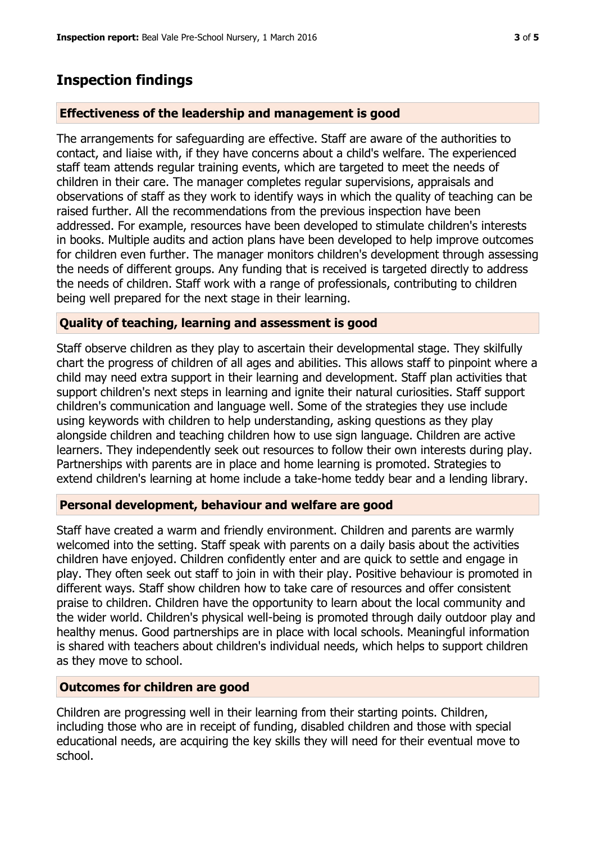## **Inspection findings**

#### **Effectiveness of the leadership and management is good**

The arrangements for safeguarding are effective. Staff are aware of the authorities to contact, and liaise with, if they have concerns about a child's welfare. The experienced staff team attends regular training events, which are targeted to meet the needs of children in their care. The manager completes regular supervisions, appraisals and observations of staff as they work to identify ways in which the quality of teaching can be raised further. All the recommendations from the previous inspection have been addressed. For example, resources have been developed to stimulate children's interests in books. Multiple audits and action plans have been developed to help improve outcomes for children even further. The manager monitors children's development through assessing the needs of different groups. Any funding that is received is targeted directly to address the needs of children. Staff work with a range of professionals, contributing to children being well prepared for the next stage in their learning.

#### **Quality of teaching, learning and assessment is good**

Staff observe children as they play to ascertain their developmental stage. They skilfully chart the progress of children of all ages and abilities. This allows staff to pinpoint where a child may need extra support in their learning and development. Staff plan activities that support children's next steps in learning and ignite their natural curiosities. Staff support children's communication and language well. Some of the strategies they use include using keywords with children to help understanding, asking questions as they play alongside children and teaching children how to use sign language. Children are active learners. They independently seek out resources to follow their own interests during play. Partnerships with parents are in place and home learning is promoted. Strategies to extend children's learning at home include a take-home teddy bear and a lending library.

#### **Personal development, behaviour and welfare are good**

Staff have created a warm and friendly environment. Children and parents are warmly welcomed into the setting. Staff speak with parents on a daily basis about the activities children have enjoyed. Children confidently enter and are quick to settle and engage in play. They often seek out staff to join in with their play. Positive behaviour is promoted in different ways. Staff show children how to take care of resources and offer consistent praise to children. Children have the opportunity to learn about the local community and the wider world. Children's physical well-being is promoted through daily outdoor play and healthy menus. Good partnerships are in place with local schools. Meaningful information is shared with teachers about children's individual needs, which helps to support children as they move to school.

#### **Outcomes for children are good**

Children are progressing well in their learning from their starting points. Children, including those who are in receipt of funding, disabled children and those with special educational needs, are acquiring the key skills they will need for their eventual move to school.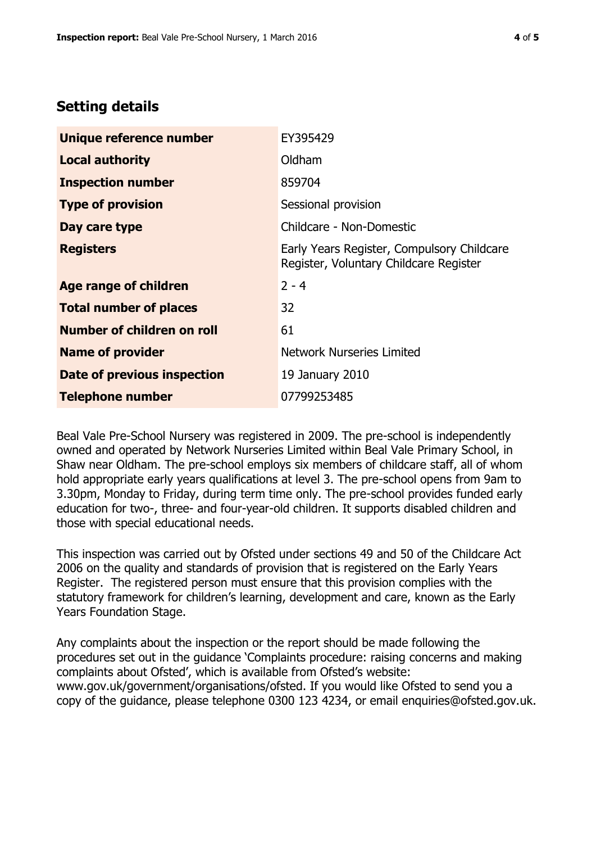## **Setting details**

| Unique reference number       | EY395429                                                                             |  |
|-------------------------------|--------------------------------------------------------------------------------------|--|
| <b>Local authority</b>        | Oldham                                                                               |  |
| <b>Inspection number</b>      | 859704                                                                               |  |
| <b>Type of provision</b>      | Sessional provision                                                                  |  |
| Day care type                 | Childcare - Non-Domestic                                                             |  |
| <b>Registers</b>              | Early Years Register, Compulsory Childcare<br>Register, Voluntary Childcare Register |  |
| <b>Age range of children</b>  | $2 - 4$                                                                              |  |
| <b>Total number of places</b> | 32                                                                                   |  |
| Number of children on roll    | 61                                                                                   |  |
| <b>Name of provider</b>       | <b>Network Nurseries Limited</b>                                                     |  |
| Date of previous inspection   | 19 January 2010                                                                      |  |
| <b>Telephone number</b>       | 07799253485                                                                          |  |

Beal Vale Pre-School Nursery was registered in 2009. The pre-school is independently owned and operated by Network Nurseries Limited within Beal Vale Primary School, in Shaw near Oldham. The pre-school employs six members of childcare staff, all of whom hold appropriate early years qualifications at level 3. The pre-school opens from 9am to 3.30pm, Monday to Friday, during term time only. The pre-school provides funded early education for two-, three- and four-year-old children. It supports disabled children and those with special educational needs.

This inspection was carried out by Ofsted under sections 49 and 50 of the Childcare Act 2006 on the quality and standards of provision that is registered on the Early Years Register. The registered person must ensure that this provision complies with the statutory framework for children's learning, development and care, known as the Early Years Foundation Stage.

Any complaints about the inspection or the report should be made following the procedures set out in the guidance 'Complaints procedure: raising concerns and making complaints about Ofsted', which is available from Ofsted's website: www.gov.uk/government/organisations/ofsted. If you would like Ofsted to send you a copy of the guidance, please telephone 0300 123 4234, or email enquiries@ofsted.gov.uk.